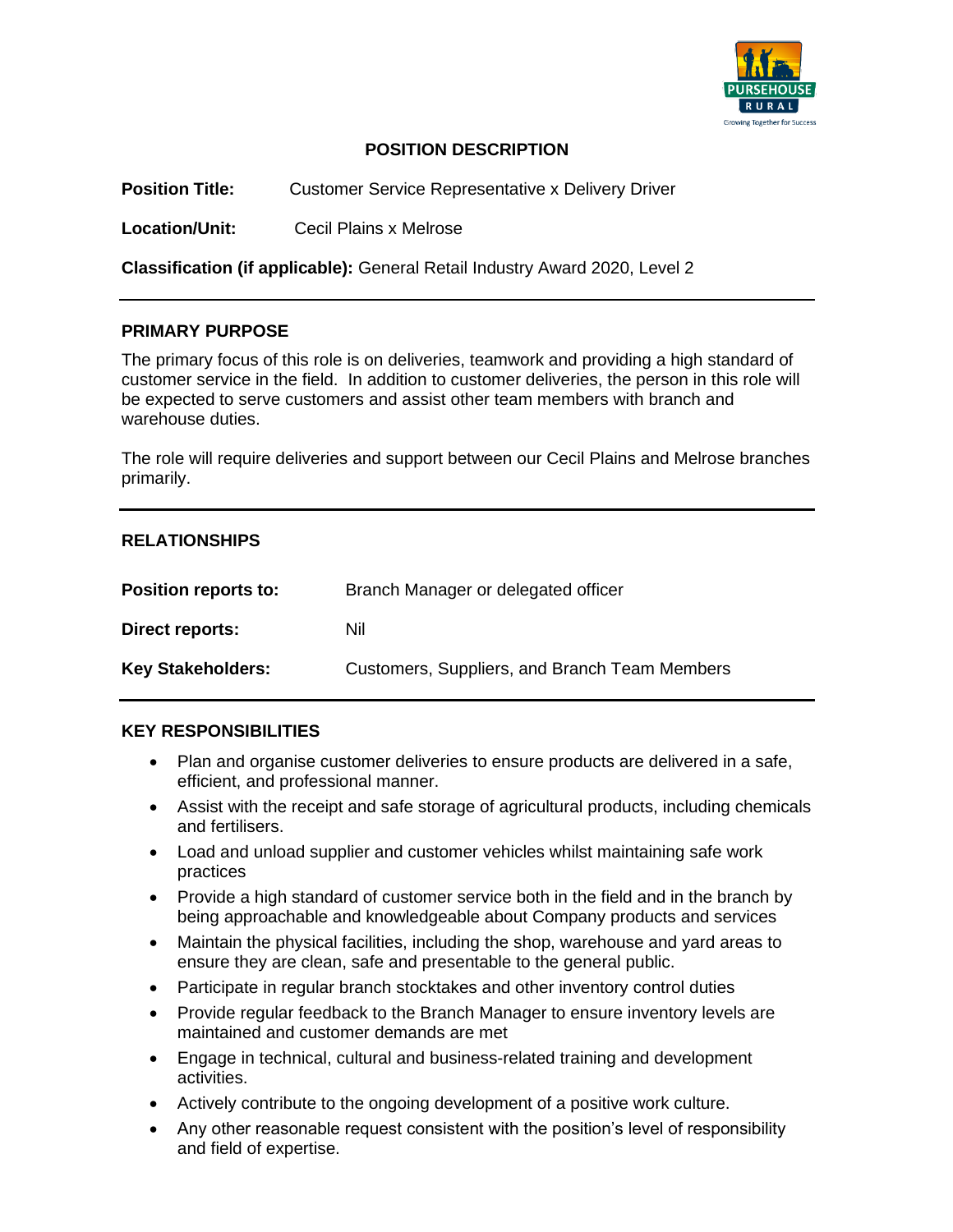

## **POSITION DESCRIPTION**

**Position Title:** Customer Service Representative x Delivery Driver

**Location/Unit:** Cecil Plains x Melrose

**Classification (if applicable):** General Retail Industry Award 2020, Level 2

#### **PRIMARY PURPOSE**

The primary focus of this role is on deliveries, teamwork and providing a high standard of customer service in the field. In addition to customer deliveries, the person in this role will be expected to serve customers and assist other team members with branch and warehouse duties.

The role will require deliveries and support between our Cecil Plains and Melrose branches primarily.

#### **RELATIONSHIPS**

| <b>Position reports to:</b> | Branch Manager or delegated officer           |
|-----------------------------|-----------------------------------------------|
| Direct reports:             | Nil                                           |
| <b>Key Stakeholders:</b>    | Customers, Suppliers, and Branch Team Members |

#### **KEY RESPONSIBILITIES**

- Plan and organise customer deliveries to ensure products are delivered in a safe, efficient, and professional manner.
- Assist with the receipt and safe storage of agricultural products, including chemicals and fertilisers.
- Load and unload supplier and customer vehicles whilst maintaining safe work practices
- Provide a high standard of customer service both in the field and in the branch by being approachable and knowledgeable about Company products and services
- Maintain the physical facilities, including the shop, warehouse and yard areas to ensure they are clean, safe and presentable to the general public.
- Participate in regular branch stocktakes and other inventory control duties
- Provide regular feedback to the Branch Manager to ensure inventory levels are maintained and customer demands are met
- Engage in technical, cultural and business-related training and development activities.
- Actively contribute to the ongoing development of a positive work culture.
- Any other reasonable request consistent with the position's level of responsibility and field of expertise.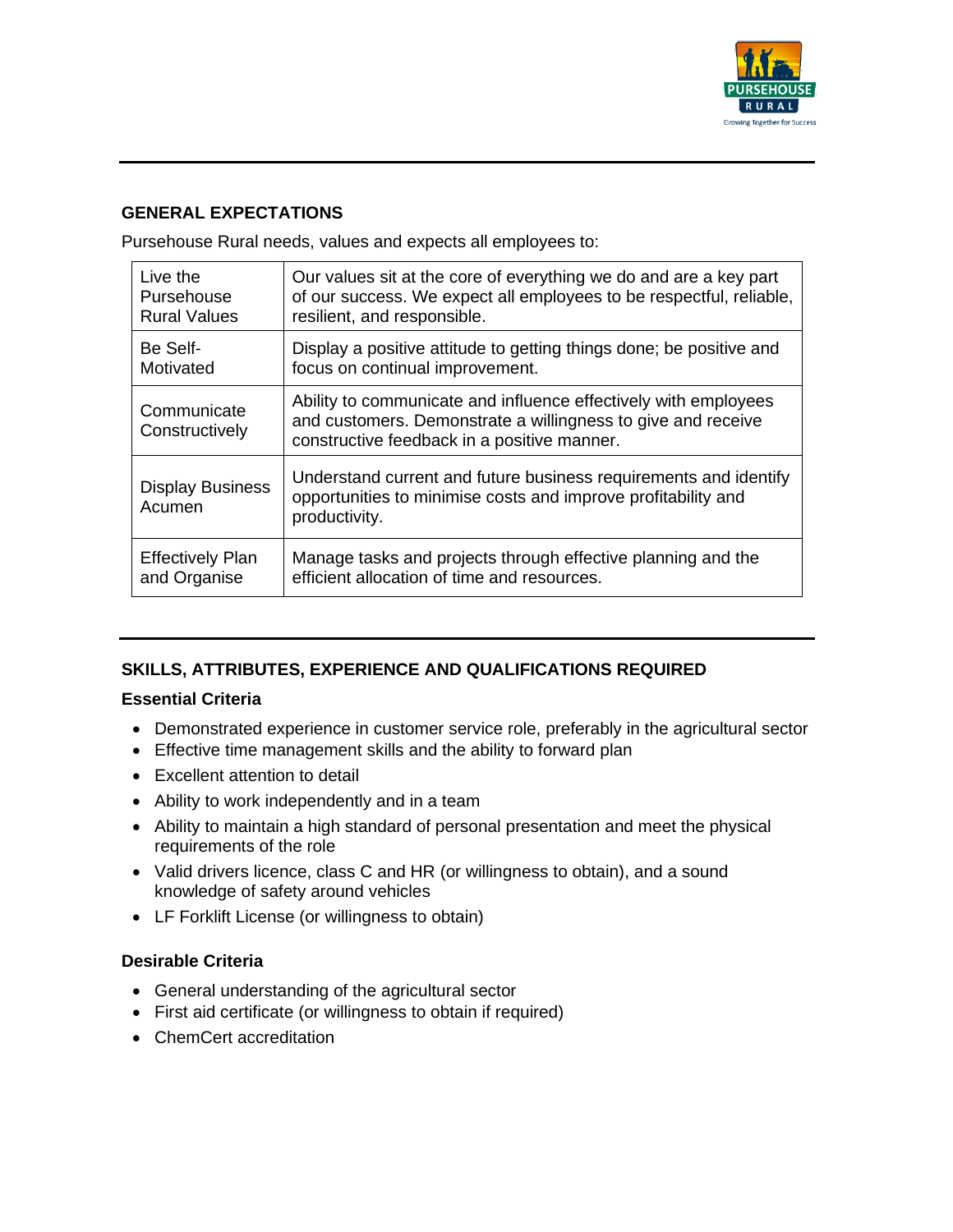

# **GENERAL EXPECTATIONS**

Pursehouse Rural needs, values and expects all employees to:

| Live the                          | Our values sit at the core of everything we do and are a key part                                                                                                              |
|-----------------------------------|--------------------------------------------------------------------------------------------------------------------------------------------------------------------------------|
| Pursehouse                        | of our success. We expect all employees to be respectful, reliable,                                                                                                            |
| <b>Rural Values</b>               | resilient, and responsible.                                                                                                                                                    |
| Be Self-                          | Display a positive attitude to getting things done; be positive and                                                                                                            |
| Motivated                         | focus on continual improvement.                                                                                                                                                |
| Communicate<br>Constructively     | Ability to communicate and influence effectively with employees<br>and customers. Demonstrate a willingness to give and receive<br>constructive feedback in a positive manner. |
| <b>Display Business</b><br>Acumen | Understand current and future business requirements and identify<br>opportunities to minimise costs and improve profitability and<br>productivity.                             |
| <b>Effectively Plan</b>           | Manage tasks and projects through effective planning and the                                                                                                                   |
| and Organise                      | efficient allocation of time and resources.                                                                                                                                    |

# **SKILLS, ATTRIBUTES, EXPERIENCE AND QUALIFICATIONS REQUIRED**

# **Essential Criteria**

- Demonstrated experience in customer service role, preferably in the agricultural sector
- Effective time management skills and the ability to forward plan
- Excellent attention to detail
- Ability to work independently and in a team
- Ability to maintain a high standard of personal presentation and meet the physical requirements of the role
- Valid drivers licence, class C and HR (or willingness to obtain), and a sound knowledge of safety around vehicles
- LF Forklift License (or willingness to obtain)

# **Desirable Criteria**

- General understanding of the agricultural sector
- First aid certificate (or willingness to obtain if required)
- ChemCert accreditation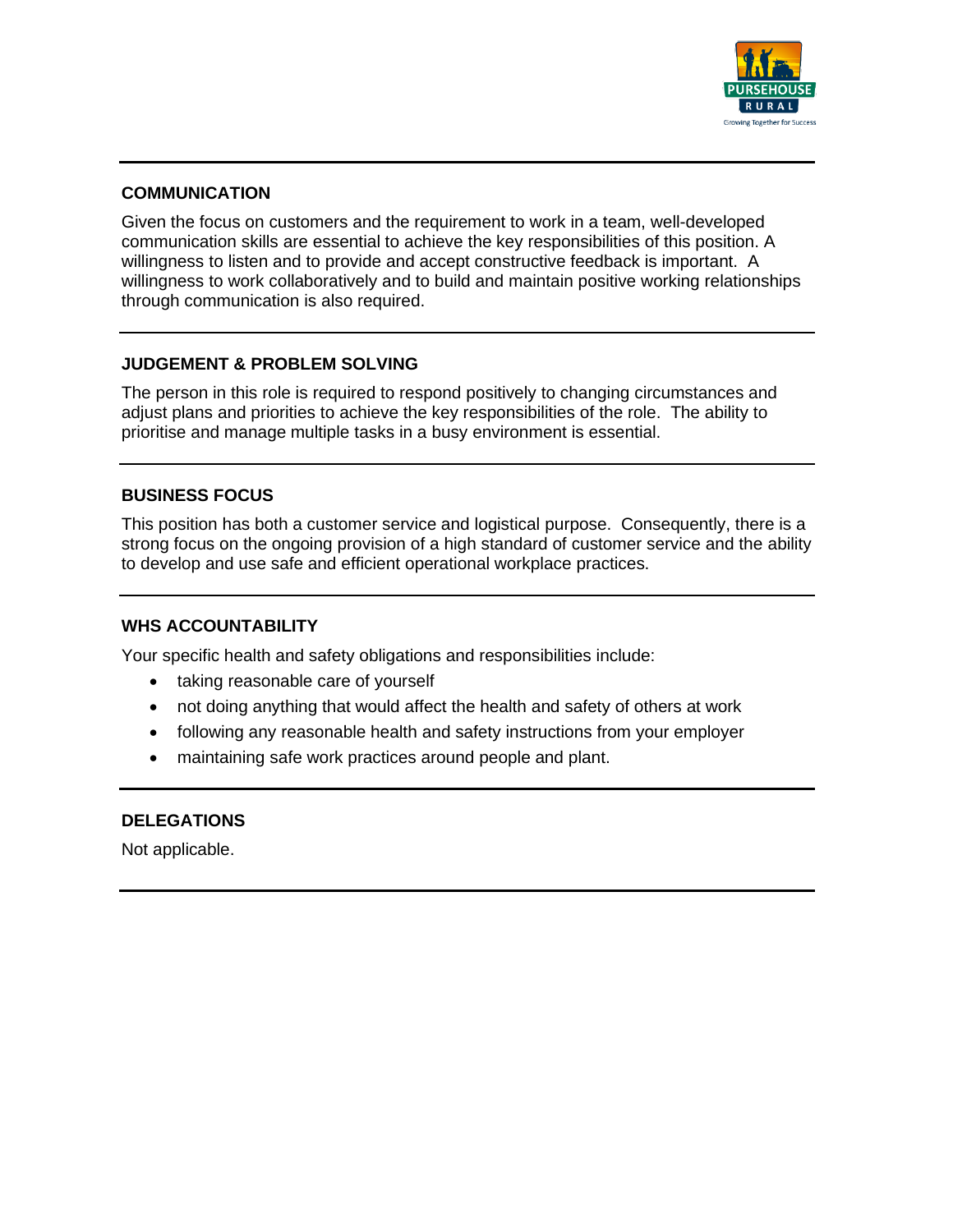

#### **COMMUNICATION**

Given the focus on customers and the requirement to work in a team, well-developed communication skills are essential to achieve the key responsibilities of this position. A willingness to listen and to provide and accept constructive feedback is important. A willingness to work collaboratively and to build and maintain positive working relationships through communication is also required.

#### **JUDGEMENT & PROBLEM SOLVING**

The person in this role is required to respond positively to changing circumstances and adjust plans and priorities to achieve the key responsibilities of the role. The ability to prioritise and manage multiple tasks in a busy environment is essential.

#### **BUSINESS FOCUS**

This position has both a customer service and logistical purpose. Consequently, there is a strong focus on the ongoing provision of a high standard of customer service and the ability to develop and use safe and efficient operational workplace practices.

#### **WHS ACCOUNTABILITY**

Your specific health and safety obligations and responsibilities include:

- taking reasonable care of yourself
- not doing anything that would affect the health and safety of others at work
- following any reasonable health and safety instructions from your employer
- maintaining safe work practices around people and plant.

#### **DELEGATIONS**

Not applicable.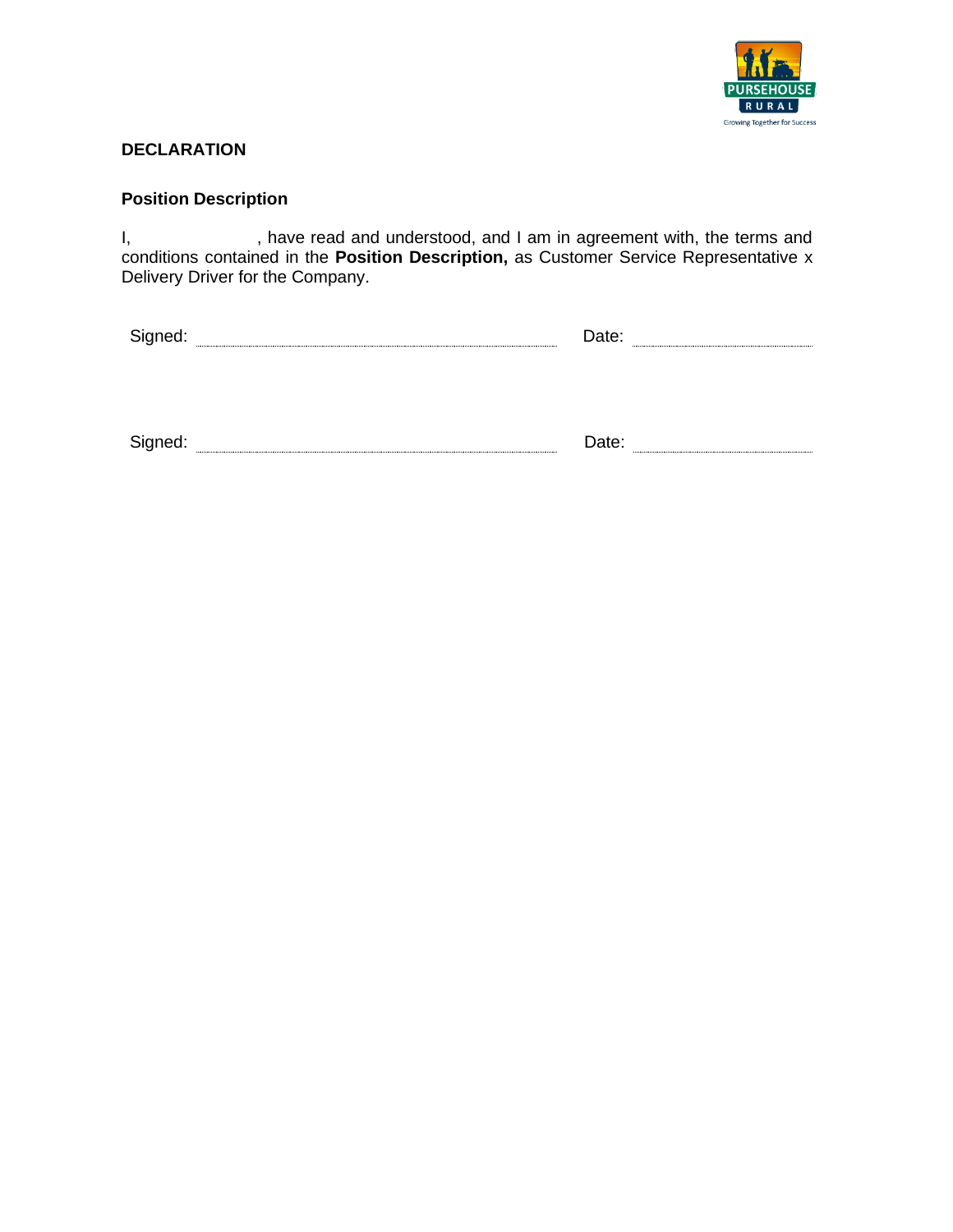

## **DECLARATION**

#### **Position Description**

I, have read and understood, and I am in agreement with, the terms and conditions contained in the **Position Description,** as Customer Service Representative x Delivery Driver for the Company.

| - |  |  |
|---|--|--|
|   |  |  |
|   |  |  |

Signed: Date: